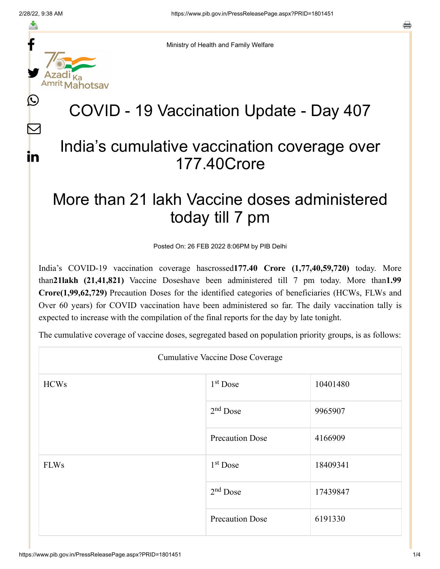f

≛

y.

 $\bigcirc$ 

 $\color{red} \nabla$ 

in



## COVID - 19 Vaccination Update - Day 407

## India's cumulative vaccination coverage over 177.40Crore

## More than 21 lakh Vaccine doses administered today till 7 pm

Posted On: 26 FEB 2022 8:06PM by PIB Delhi

India's COVID-19 vaccination coverage hascrossed**177.40 Crore (1,77,40,59,720)** today. More than**21lakh (21,41,821)** Vaccine Doseshave been administered till 7 pm today. More than**1.99 Crore(1,99,62,729)** Precaution Doses for the identified categories of beneficiaries (HCWs, FLWs and Over 60 years) for COVID vaccination have been administered so far. The daily vaccination tally is expected to increase with the compilation of the final reports for the day by late tonight.

The cumulative coverage of vaccine doses, segregated based on population priority groups, is as follows:

| <b>Cumulative Vaccine Dose Coverage</b> |                        |          |  |  |
|-----------------------------------------|------------------------|----------|--|--|
| <b>HCWs</b>                             | $1st$ Dose             | 10401480 |  |  |
|                                         | $2nd$ Dose             | 9965907  |  |  |
|                                         | <b>Precaution Dose</b> | 4166909  |  |  |
| <b>FLWs</b>                             | $1st$ Dose             | 18409341 |  |  |
|                                         | $2nd$ Dose             | 17439847 |  |  |
|                                         | <b>Precaution Dose</b> | 6191330  |  |  |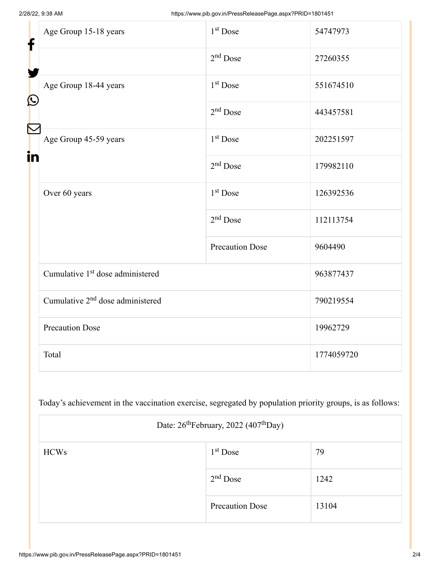| f<br>$\bf \Omega$ | Age Group 15-18 years                        | $1st$ Dose             | 54747973   |
|-------------------|----------------------------------------------|------------------------|------------|
|                   |                                              | $2nd$ Dose             | 27260355   |
|                   | Age Group 18-44 years                        | 1 <sup>st</sup> Dose   | 551674510  |
|                   |                                              | $2nd$ Dose             | 443457581  |
| in                | Age Group 45-59 years                        | 1 <sup>st</sup> Dose   | 202251597  |
|                   |                                              | $2nd$ Dose             | 179982110  |
|                   | Over 60 years                                | 1 <sup>st</sup> Dose   | 126392536  |
|                   |                                              | $2nd$ Dose             | 112113754  |
|                   |                                              | <b>Precaution Dose</b> | 9604490    |
|                   | Cumulative 1 <sup>st</sup> dose administered |                        | 963877437  |
|                   | Cumulative 2 <sup>nd</sup> dose administered |                        | 790219554  |
|                   | <b>Precaution Dose</b>                       |                        | 19962729   |
|                   | Total                                        |                        | 1774059720 |

Today's achievement in the vaccination exercise, segregated by population priority groups, is as follows:

| Date: 26 <sup>th</sup> February, 2022 (407 <sup>th</sup> Day) |                        |       |  |
|---------------------------------------------------------------|------------------------|-------|--|
| <b>HCWs</b>                                                   | $1st$ Dose             | 79    |  |
|                                                               | $2nd$ Dose             | 1242  |  |
|                                                               | <b>Precaution Dose</b> | 13104 |  |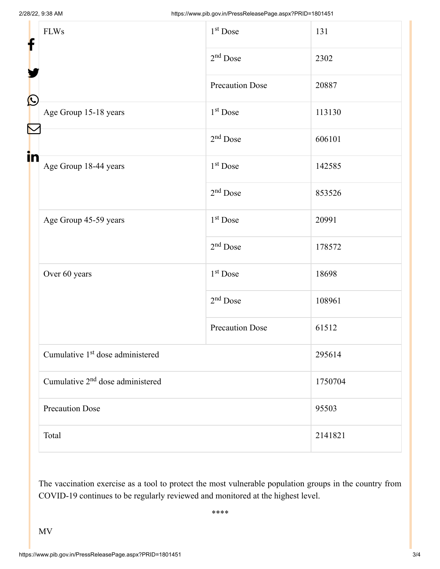| f            | <b>FLWs</b>                                  | $1st$ Dose             | 131     |  |
|--------------|----------------------------------------------|------------------------|---------|--|
|              |                                              | $2nd$ Dose             | 2302    |  |
|              |                                              | <b>Precaution Dose</b> | 20887   |  |
| $\bf \Omega$ | Age Group 15-18 years                        | 1 <sup>st</sup> Dose   | 113130  |  |
|              |                                              | $2nd$ Dose             | 606101  |  |
| in           | Age Group 18-44 years                        | $1st$ Dose             | 142585  |  |
|              |                                              | $2nd$ Dose             | 853526  |  |
|              | Age Group 45-59 years                        | 1 <sup>st</sup> Dose   | 20991   |  |
|              |                                              | $2nd$ Dose             | 178572  |  |
|              | Over 60 years                                | $1st$ Dose             | 18698   |  |
|              |                                              | $2nd$ Dose             | 108961  |  |
|              |                                              | <b>Precaution Dose</b> | 61512   |  |
|              | Cumulative 1 <sup>st</sup> dose administered |                        | 295614  |  |
|              | Cumulative 2 <sup>nd</sup> dose administered |                        | 1750704 |  |
|              | <b>Precaution Dose</b>                       |                        | 95503   |  |
|              | Total                                        |                        | 2141821 |  |

The vaccination exercise as a tool to protect the most vulnerable population groups in the country from COVID-19 continues to be regularly reviewed and monitored at the highest level.

\*\*\*\*

MV